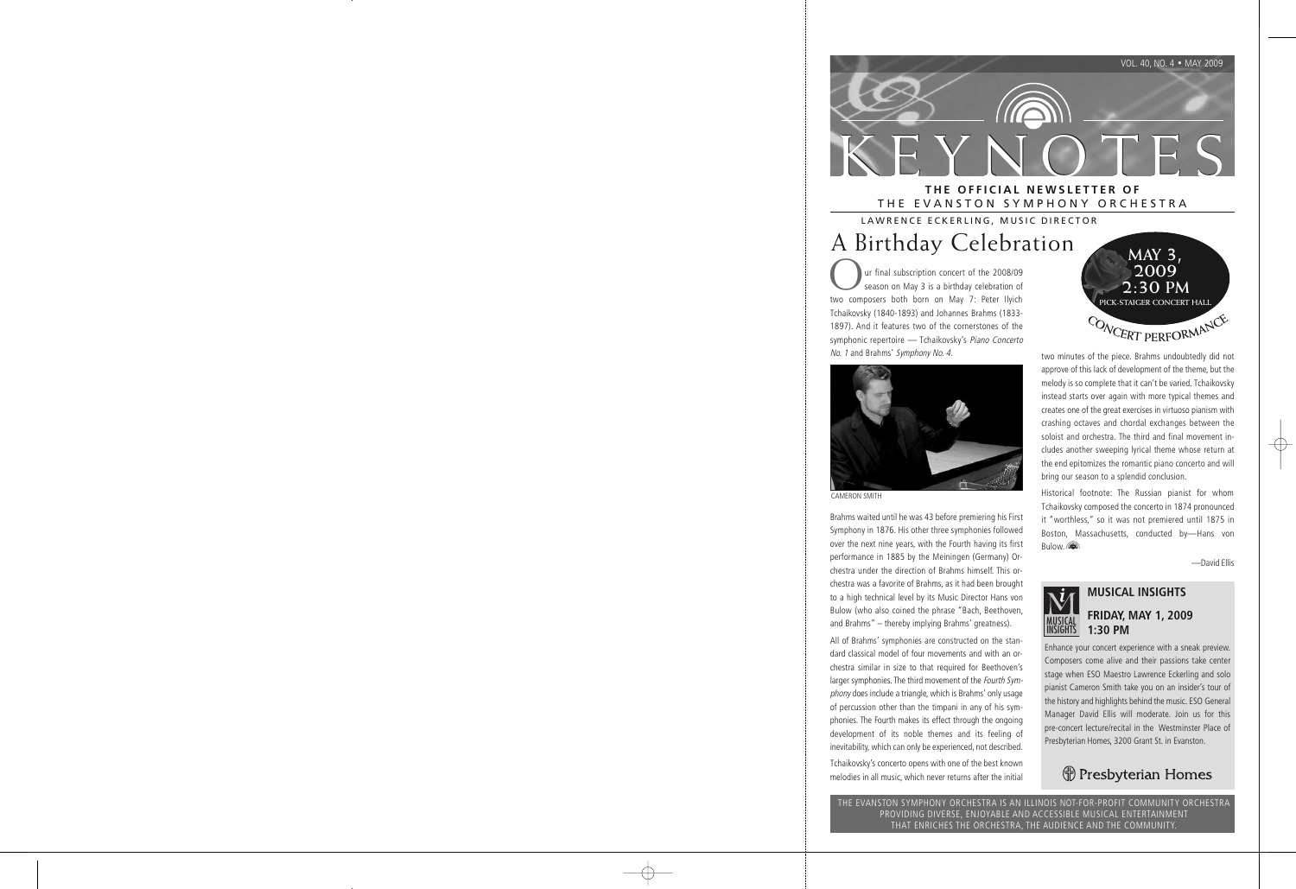

## A Birthday Celebration LAWRENCE ECKERLING, MUSIC DIRECTOR

Our final subscription concert of the 2008/09<br>
season on May 3 is a birthday celebration of<br>
two composers both bern on May 7: Peter Unich two composers both born on May 7: Peter Ilyich Tchaikovsky (1840-1893) and Johannes Brahms (1833- 1897). And it features two of the cornerstones of the symphonic repertoire - Tchaikovsky's Piano Concerto No. <sup>1</sup> and Brahms' Symphony No. 4.



CAMERON SMITH

Brahms waited until he was 43 before premiering his First Symphony in 1876. His other three symphonies followed over the next nine years, with the Fourth having its first performance in 1885 by the Meiningen (Germany) Orchestra under the direction of Brahms himself. This orchestra was a favorite of Brahms, as it had been brought to a high technical level by its Music Director Hans von Bulow (who also coined the phrase "Bach, Beethoven, and Brahms" – thereby implying Brahms' greatness).

All of Brahms' symphonies are constructed on the standard classical model of four movements and with an orchestra similar in size to that required for Beethoven's larger symphonies. The third movement of the Fourth Symphony does include a triangle, which is Brahms' only usage of percussion other than the timpani in any of his symphonies. The Fourth makes its effect through the ongoing development of its noble themes and its feeling of inevitability, which can only be experienced, not described.

Tchaikovsky's concerto opens with one of the best known melodies in all music, which never returns after the initial



two minutes of the piece. Brahms undoubtedly did not approve of this lack of development of the theme, but the melody is so complete that it can't be varied. Tchaikovsky instead starts over again with more typical themes and creates one of the great exercises in virtuoso pianism with crashing octaves and chordal exchanges between the soloist and orchestra. The third and final movement includes another sweeping lyrical theme whose return at the end epitomizes the romantic piano concerto and will bring our season to a splendid conclusion.

Historical footnote: The Russian pianist for whom Tchaikovsky composed the concerto in 1874 pronounced it "worthless," so it was not premiered until 1875 in Boston, Massachusetts, conducted by—Hans von **Bulow.** 

—David Ellis

# MUSICAL INSIGHTS

## **MUSICAL INSIGHTS**

#### **FRIDAY, MAY 1, 2009 1:30 PM**

Enhance your concert experience with a sneak preview. Composers come alive and their passions take center stage when ESO Maestro Lawrence Eckerling and solo pianist Cameron Smith take you on an insider's tour of the history and highlights behind the music. ESO General Manager David Ellis will moderate. Join us for this pre-concert lecture/recital in the Westminster Place of Presbyterian Homes, 3200 Grant St. in Evanston.

## Presbyterian Homes

THE EVANSTON SYMPHONY ORCHESTRA IS AN ILLINOIS NOT-FOR-PROFIT COMMUNITY ORCHESTRA PROVIDING DIVERSE, ENJOYABLE AND ACCESSIBLE MUSICAL ENTERTAINMENT THAT ENRICHES THE ORCHESTRA, THE AUDIENCE AND THE COMMUNITY.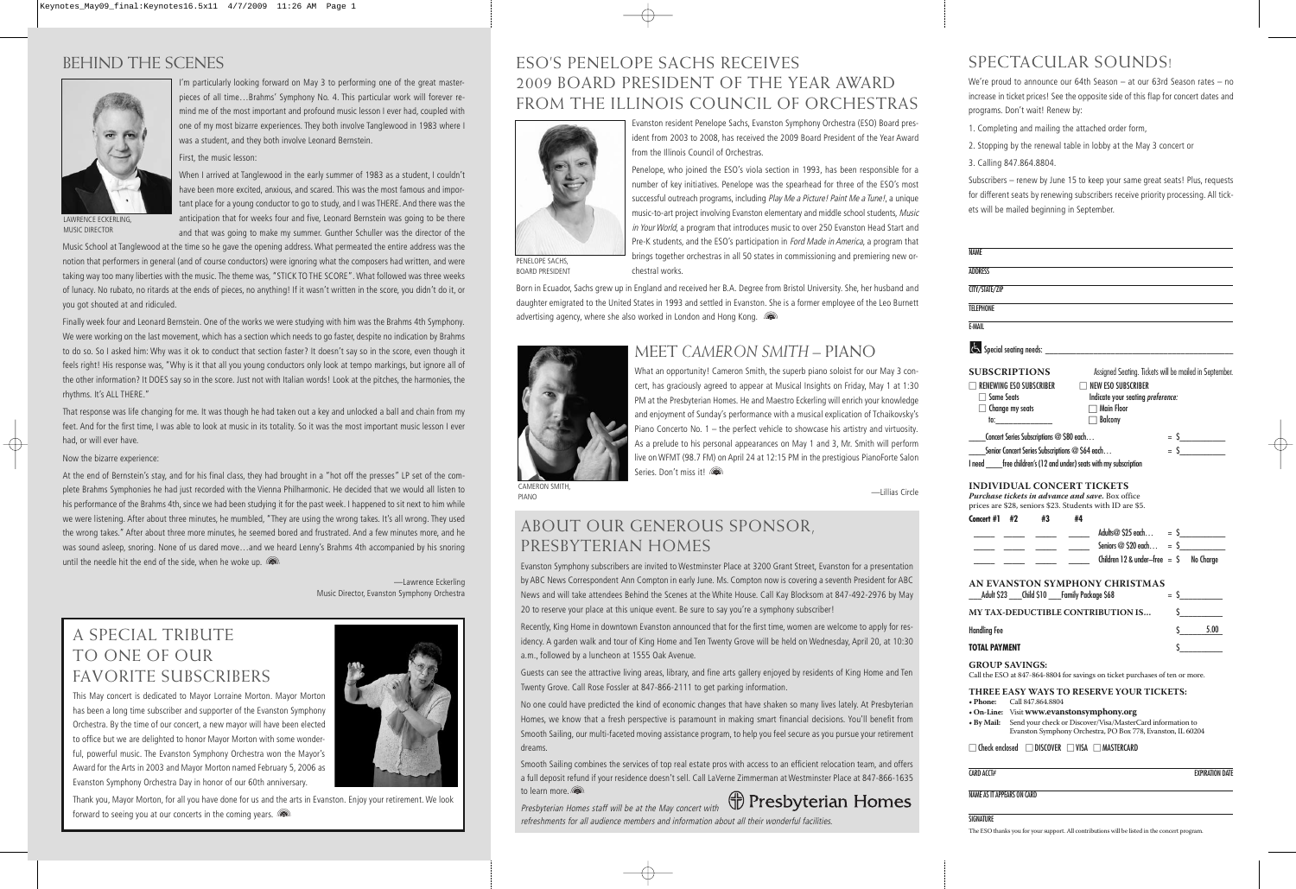## BEHIND THE SCENES



MUSIC DIRECTOR

I'm particularly looking forward on May 3 to performing one of the great masterpieces of all time…Brahms' Symphony No. 4. This particular work will forever remind me of the most important and profound music lesson I ever had, coupled with one of my most bizarre experiences. They both involve Tanglewood in 1983 where I was a student, and they both involve Leonard Bernstein.

First, the music lesson:

When I arrived at Tanglewood in the early summer of 1983 as a student, I couldn't have been more excited, anxious, and scared. This was the most famous and important place for a young conductor to go to study, and I was THERE. And there was the anticipation that for weeks four and five, Leonard Bernstein was going to be there and that was going to make my summer. Gunther Schuller was the director of the

Music School at Tanglewood at the time so he gave the opening address. What permeated the entire address was the notion that performers in general (and of course conductors) were ignoring what the composers had written, and were taking way too many liberties with the music. The theme was, "STICK TO THE SCORE". What followed was three weeks of lunacy. No rubato, no ritards at the ends of pieces, no anything! If it wasn't written in the score, you didn't do it, or you got shouted at and ridiculed.

Finally week four and Leonard Bernstein. One of the works we were studying with him was the Brahms 4th Symphony. We were working on the last movement, which has a section which needs to go faster, despite no indication by Brahms to do so. So I asked him: Why was it ok to conduct that section faster? It doesn't say so in the score, even though it feels right! His response was, "Why is it that all you young conductors only look at tempo markings, but ignore all of the other information? It DOES say so in the score. Just not with Italian words! Look at the pitches, the harmonies, the rhythms. It's ALL THERE."

That response was life changing for me. It was though he had taken out a key and unlocked a ball and chain from my feet. And for the first time, I was able to look at music in its totality. So it was the most important music lesson I ever had, or will ever have.

#### Now the bizarre experience:

At the end of Bernstein's stay, and for his final class, they had brought in a "hot off the presses" LP set of the complete Brahms Symphonies he had just recorded with the Vienna Philharmonic. He decided that we would all listen to his performance of the Brahms 4th, since we had been studying it for the past week. I happened to sit next to him while we were listening. After about three minutes, he mumbled, "They are using the wrong takes. It's all wrong. They used the wrong takes." After about three more minutes, he seemed bored and frustrated. And a few minutes more, and he was sound asleep, snoring. None of us dared move…and we heard Lenny's Brahms 4th accompanied by his snoring until the needle hit the end of the side, when he woke up.  $\blacksquare$ 

> —Lawrence Eckerling Music Director, Evanston Symphony Orchestra

## A SPECIAL TRIBUTE TO ONE OF OUR FAVORITE SUBSCRIBERS

This May concert is dedicated to Mayor Lorraine Morton. Mayor Morton has been a long time subscriber and supporter of the Evanston Symphony Orchestra. By the time of our concert, a new mayor will have been elected to office but we are delighted to honor Mayor Morton with some wonderful, powerful music. The Evanston Symphony Orchestra won the Mayor's Award for the Arts in 2003 and Mayor Morton named February 5, 2006 as Evanston Symphony Orchestra Day in honor of our 60th anniversary.



### ESO'S PENELOPE SACHS RECEIVES 2009 BOARD PRESIDENT OF THE YEAR AWARD FROM THE ILLINOIS COUNCIL OF ORCHESTRAS



Evanston resident Penelope Sachs, Evanston Symphony Orchestra (ESO) Board president from 2003 to 2008, has received the 2009 Board President of the Year Award from the Illinois Council of Orchestras.

Penelope, who joined the ESO's viola section in 1993, has been responsible for a number of key initiatives. Penelope was the spearhead for three of the ESO's most successful outreach programs, including Play Me a Picture! Paint Me a Tune!, a unique music-to-art project involving Evanston elementary and middle school students, Music in Your World, a program that introduces music to over 250 Evanston Head Start and Pre-K students, and the ESO's participation in *Ford Made in America*, a program that brings together orchestras in all 50 states in commissioning and premiering new orchestral works.

PENELOPE SACHS, BOARD PRESIDENT

Born in Ecuador, Sachs grew up in England and received her B.A. Degree from Bristol University. She, her husband and daughter emigrated to the United States in 1993 and settled in Evanston. She is a former employee of the Leo Burnett advertising agency, where she also worked in London and Hong Kong. ( $\blacksquare$ )



### MEET *CAMERON SMITH* – PIANO

What an opportunity! Cameron Smith, the superb piano soloist for our May 3 concert, has graciously agreed to appear at Musical Insights on Friday, May 1 at 1:30 PM at the Presbyterian Homes. He and Maestro Eckerling will enrich your knowledge and enjoyment of Sunday's performance with a musical explication of Tchaikovsky's Piano Concerto No. 1 – the perfect vehicle to showcase his artistry and virtuosity. As a prelude to his personal appearances on May 1 and 3, Mr. Smith will perform live on WFMT (98.7 FM) on April 24 at 12:15 PM in the prestigious PianoForte Salon Series. Don't miss it!

—Lillias Circle

CAMERON SMITH, PIANO

### ABOUT OUR GENEROUS SPONSOR, PRESBYTERIAN HOMES

Evanston Symphony subscribers are invited to Westminster Place at 3200 Grant Street, Evanston for a presentation by ABC News Correspondent Ann Compton in early June. Ms. Compton now is covering a seventh President for ABC News and will take attendees Behind the Scenes at the White House. Call Kay Blocksom at 847-492-2976 by May 20 to reserve your place at this unique event. Be sure to say you're a symphony subscriber!

Recently, King Home in downtown Evanston announced that for the first time, women are welcome to apply for residency. A garden walk and tour of King Home and Ten Twenty Grove will be held on Wednesday, April 20, at 10:30 a.m., followed by a luncheon at 1555 Oak Avenue.

Guests can see the attractive living areas, library, and fine arts gallery enjoyed by residents of King Home and Ten Twenty Grove. Call Rose Fossler at 847-866-2111 to get parking information.

No one could have predicted the kind of economic changes that have shaken so many lives lately. At Presbyterian Homes, we know that a fresh perspective is paramount in making smart financial decisions. You'll benefit from Smooth Sailing, our multi-faceted moving assistance program, to help you feel secure as you pursue your retirement dreams.

Smooth Sailing combines the services of top real estate pros with access to an efficient relocation team, and offers a full deposit refund if your residence doesn't sell. Call LaVerne Zimmerman at Westminster Place at 847-866-1635 to learn more.



Presbyterian Homes staff will be at the May concert with refreshments for all audience members and information about all their wonderful facilities.